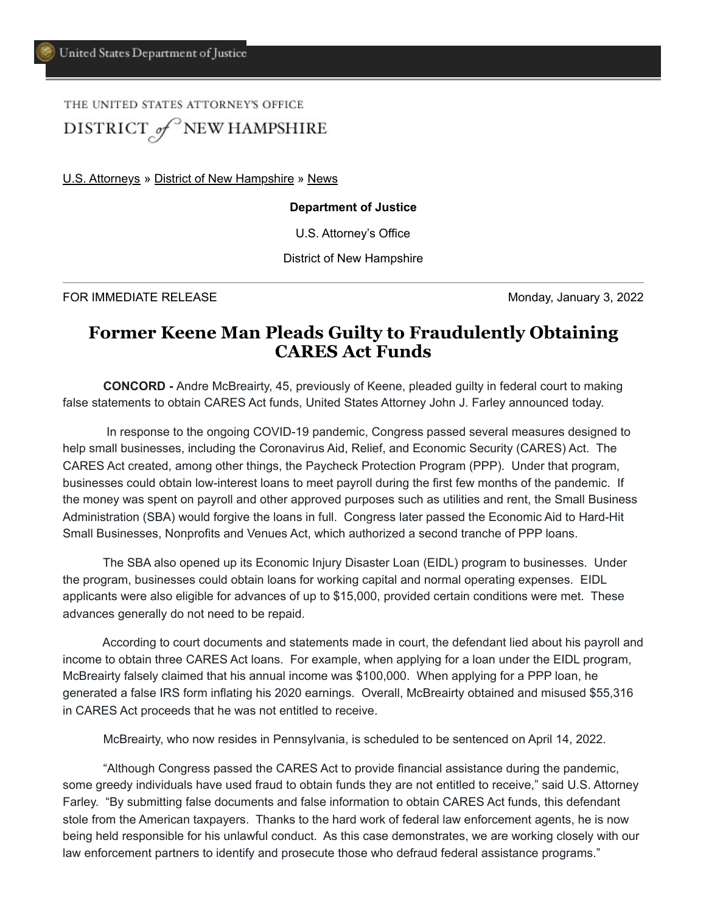## THE UNITED STATES ATTORNEY'S OFFICE DISTRICT of NEW HAMPSHIRE

[U.S. Attorneys](https://www.justice.gov/usao) » [District of New Hampshire](https://www.justice.gov/usao-nh) » [News](https://www.justice.gov/usao-nh/pr)

## **Department of Justice**

U.S. Attorney's Office

District of New Hampshire

FOR IMMEDIATE RELEASE **Monday, January 3, 2022** 

## **Former Keene Man Pleads Guilty to Fraudulently Obtaining CARES Act Funds**

 **CONCORD -** Andre McBreairty, 45, previously of Keene, pleaded guilty in federal court to making false statements to obtain CARES Act funds, United States Attorney John J. Farley announced today.

 In response to the ongoing COVID-19 pandemic, Congress passed several measures designed to help small businesses, including the Coronavirus Aid, Relief, and Economic Security (CARES) Act. The CARES Act created, among other things, the Paycheck Protection Program (PPP). Under that program, businesses could obtain low-interest loans to meet payroll during the first few months of the pandemic. If the money was spent on payroll and other approved purposes such as utilities and rent, the Small Business Administration (SBA) would forgive the loans in full. Congress later passed the Economic Aid to Hard-Hit Small Businesses, Nonprofits and Venues Act, which authorized a second tranche of PPP loans.

The SBA also opened up its Economic Injury Disaster Loan (EIDL) program to businesses. Under the program, businesses could obtain loans for working capital and normal operating expenses. EIDL applicants were also eligible for advances of up to \$15,000, provided certain conditions were met. These advances generally do not need to be repaid.

According to court documents and statements made in court, the defendant lied about his payroll and income to obtain three CARES Act loans. For example, when applying for a loan under the EIDL program, McBreairty falsely claimed that his annual income was \$100,000. When applying for a PPP loan, he generated a false IRS form inflating his 2020 earnings. Overall, McBreairty obtained and misused \$55,316 in CARES Act proceeds that he was not entitled to receive.

McBreairty, who now resides in Pennsylvania, is scheduled to be sentenced on April 14, 2022.

 "Although Congress passed the CARES Act to provide financial assistance during the pandemic, some greedy individuals have used fraud to obtain funds they are not entitled to receive," said U.S. Attorney Farley. "By submitting false documents and false information to obtain CARES Act funds, this defendant stole from the American taxpayers. Thanks to the hard work of federal law enforcement agents, he is now being held responsible for his unlawful conduct. As this case demonstrates, we are working closely with our law enforcement partners to identify and prosecute those who defraud federal assistance programs."